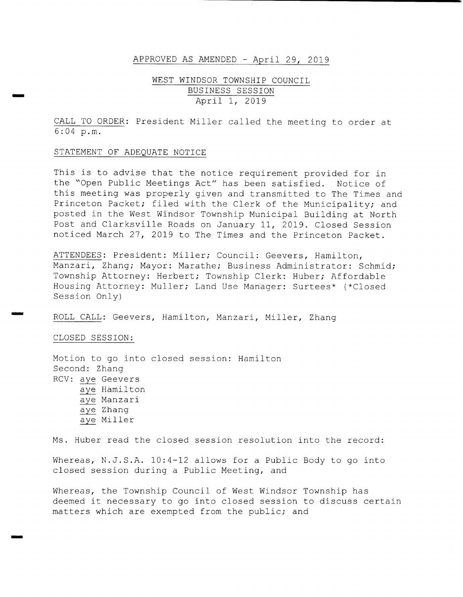#### APPROVED AS AMENDED - April 29, 2019

## WEST WINDSOR TOWNSHIP COUNCIL BUSINESS SESSION April 1, 2019

CALL TO ORDER: President Miller called the meeting to order at 6 : 04 p. m.

#### STATEMENT OF ADEQUATE NOTICE

rr. r

rr..

This is to advise that the notice requirement provided for in the "Open Public Meetings Act" has been satisfied. Notice of this meeting was properly given and transmitted to The Times and Princeton Packet; filed with the Clerk of the Municipality; and posted in the West Windsor Township Municipal Building at North Post and Clarksville Roads on January 11, 2019. Closed Session noticed March 27, 2019 to The Times and the Princeton Packet .

ATTENDEES: President: Miller; Council: Geevers, Hamilton, Manzari, Zhang; Mayor: Marathe; Business Administrator: Schmid; Township Attorney: Herbert; Township Clerk: Huber; Affordable Housing Attorney: Muller; Land Use Manager: Surtees\* (\*Closed Session Only)

ROLL CALL: Geevers, Hamilton, Manzari, Miller, Zhang

CLOSED SESSION:

Motion to go into closed session: Hamilton Second: Zhang RCV: aye Geevers aye Hamilton aye Manzari aye Zhang aye Miller

Ms. Huber read the closed session resolution into the record:

Whereas, N.J.S.A.  $10:4-12$  allows for a Public Body to go into closed session during <sup>a</sup> Public Meeting, and

Whereas, the Township Council of West Windsor Township has deemed it necessary to go into closed session to discuss certain matters which are exempted from the public; and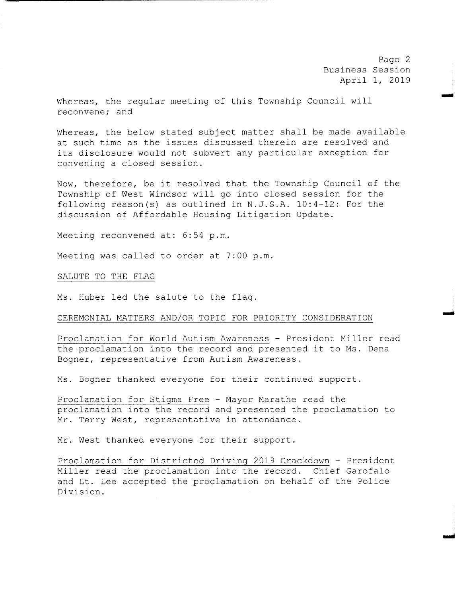Page 2 Business Session April 1, 2019

w

mow

Whereas, the regular meeting of this Township Council will reconvene; and

Whereas, the below stated subject matter shall be made available at such time as the issues discussed therein are resolved and its disclosure would not subvert any particular exception for convening <sup>a</sup> closed session.

Now, therefore, be it resolved that the Township Council of the Township of West Windsor will go into closed session for the following reason(s) as outlined in  $N.J.S.A. 10:4-12$ : For the discussion of Affordable Housing Litigation Update.

Meeting reconvened at: 6:54 p.m.

Meeting was called to order at 7:00 p.m.

SALUTE TO THE FLAG

Ms. Huber led the salute to the flag.

#### CEREMONIAL MATTERS AND/OR TOPIC FOR PRIORITY CONSIDERATION

Proclamation for World Autism Awareness - President Miller read the proclamation into the record and presented it to Ms. Dena Bogner, representative from Autism Awareness .

Ms. Bogner thanked everyone for their continued support.

Proclamation for Stigma Free - Mayor Marathe read the proclamation into the record and presented the proclamation to Mr. Terry West, representative in attendance.

Mr. West thanked everyone for their support .

Proclamation for Districted Driving <sup>2019</sup> Crackdown - President Miller read the proclamation into the record. Chief Garofalo and Lt. Lee accepted the proclamation on behalf of the Police Division.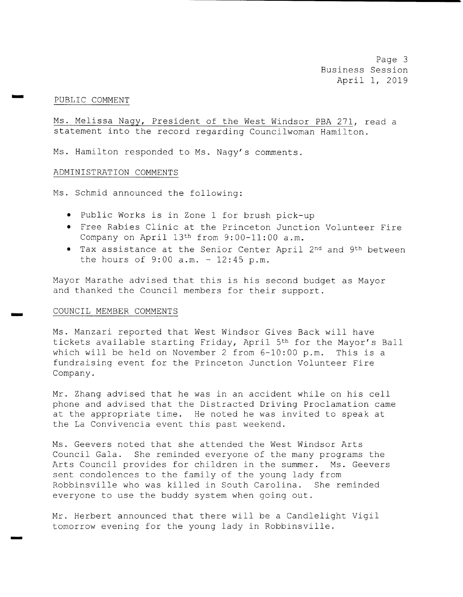Page 3 Business Session April 1, 2019

#### PUBLIC COMMENT

wow

rr..

Ms. Melissa Nagy, President of the West Windsor PBA 271, read a statement into the record regarding Councilwoman Hamilton.

Ms. Hamilton responded to Ms. Nagy's comments.

#### ADMINISTRATION COMMENTS

Ms. Schmid announced the following:

- Public Works is in Zone 1 for brush pick-up
- Free Rabies Clinic at the Princeton Junction Volunteer Fire Company on April  $13<sup>th</sup>$  from  $9:00-11:00$  a.m.
- Tax assistance at the Senior Center April 2nd and 9th between the hours of  $9:00$  a.m. -  $12:45$  p.m.

Mayor Marathe advised that this is his second budget as Mayor and thanked the Council members for their support .

#### COUNCIL MEMBER COMMENTS

Ms . Manzari reported that West Windsor Gives Back will have tickets available starting Friday, April 5<sup>th</sup> for the Mayor's Ball which will be held on November 2 from  $6-10:00$  p.m. This is a fundraising event for the Princeton Junction Volunteer Fire Company.

Mr. Zhang advised that he was in an accident while on his cell phone and advised that the Distracted Driving Proclamation came at the appropriate time. He noted he was invited to speak at the La Convivencia event this past weekend.

Ms . Geevers noted that she attended the West Windsor Arts Council Gala. She reminded everyone of the many programs the Arts Council provides for children in the summer. Ms. Geevers sent condolences to the family of the young lady from Robbinsville who was killed in South Carolina. She reminded everyone to use the buddy system when going out .

Mr. Herbert announced that there will be <sup>a</sup> Candlelight Vigil tomorrow evening for the young lady in Robbinsville .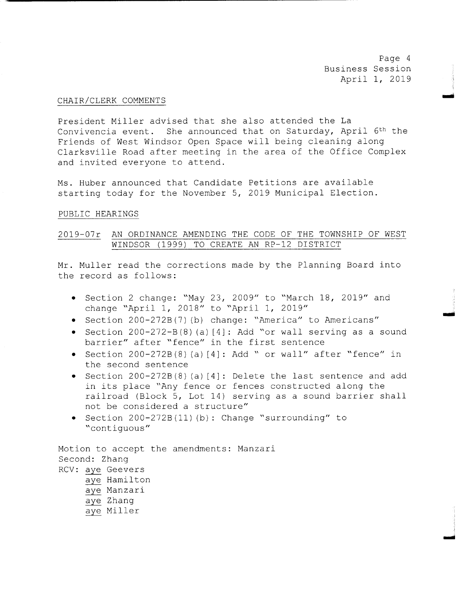Page <sup>4</sup> Business Session April 1, 2019

Iwo

#### CHAIR/ CLERK COMMENTS

President Miller advised that she also attended the La Convivencia event. She announced that on Saturday, April 6<sup>th</sup> the Friends of West Windsor Open Space will being cleaning along Clarksville Road after meeting in the area of the Office Complex and invited everyone to attend.

Ms . Huber announced that Candidate Petitions are available starting today for the November 5, 2019 Municipal Election.

#### PUBLIC HEARINGS

### 2019-07r AN ORDINANCE AMENDING THE CODE OF THE TOWNSHIP OF WEST WINDSOR (1999) TO CREATE AN RP-12 DISTRICT

Mr. Muller read the corrections made by the Planning Board into the record as follows:

- Section 2 change: "May 23, 2009" to "March 18, 2019" and change " April 1, 2018" to " April 1, 2019"
- Section 200-272B (7) (b) change: "America" to Americans"
- Section  $200 272 B(8)$  (a)  $[4]$ : Add "or wall serving as a sound barrier" after "fence" in the first sentence
- Section  $200 272B(8)$  (a)  $[4]$ : Add " or wall" after "fence" in the second sentence
- Section 200-272B(8)(a)[4]: Delete the last sentence and add in its place "Any fence or fences constructed along the railroad (Block 5, Lot 14) serving as a sound barrier shall not be considered <sup>a</sup> structure"
- Section 200-272B (11) (b) : Change "surrounding" to contiguous"

Motion to accept the amendments: Manzari Second: Zhang RCV: aye Geevers aye Hamilton aye Manzari aye Zhang aye Miller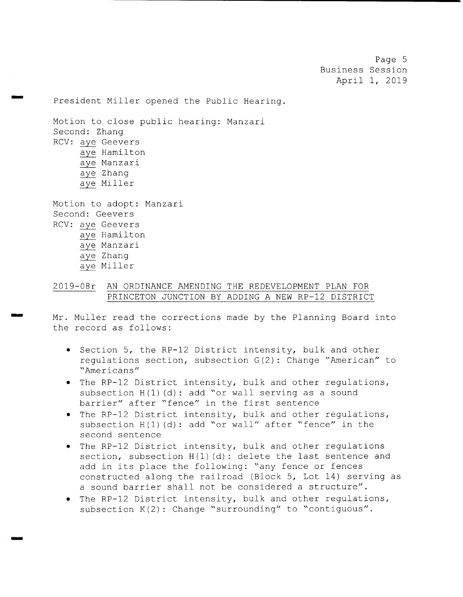Page 5 Business Session April 1, 2019

President Miller opened the Public Hearing.

Motion to close public hearing: Manzari Second: Zhang RCV: aye Geevers aye Hamilton aye Manzari aye Zhang aye Miller Motion to adopt: Manzari Second: Geevers RCV: aye Geevers aye Hamilton

aye Manzari aye Zhang

rrr.

aye Miller

## 2019- 08r AN ORDINANCE AMENDING THE REDEVELOPMENT PLAN FOR PRINCETON JUNCTION BY ADDING A NEW RP-12 DISTRICT

Mr. Muller read the corrections made by the Planning Board into the record as follows:

- Section 5, the RP-12 District intensity, bulk and other regulations section, subsection  $G(2)$ : Change "American" to Americans"
- The RP-12 District intensity, bulk and other regulations, subsection  $H(1)$  (d): add "or wall serving as a sound barrier" after "fence" in the first sentence
- The RP-12 District intensity, bulk and other regulations, subsection  $H(1)$  (d): add "or wall" after "fence" in the second sentence
- . The RP-12 District intensity, bulk and other regulations section, subsection  $H(1)$  (d): delete the last sentence and add in its place the following: "any fence or fences constructed along the railroad (Block 5, Lot 14) serving as a sound barrier shall not be considered a structure".
- The RP-12 District intensity, bulk and other regulations, subsection  $K(2)$ : Change "surrounding" to "contiguous".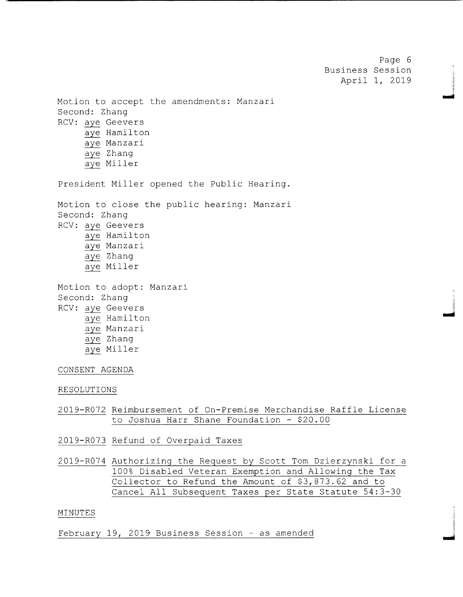Page 6 Business Session April 1, 2019

نسو

Motion to accept the amendments: Manzari Second: Zhang RCV: aye Geevers aye Hamilton aye Manzari aye Zhang aye Miller President Miller opened the Public Hearing. Motion to close the public hearing: Manzari Second: Zhang RCV: aye Geevers aye Hamilton aye Manzari aye Zhang aye Miller Motion to adopt: Manzari Second: Zhang RCV: aye Geevers aye Hamilton aye Manzari aye Zhang

# aye Miller

## CONSENT AGENDA

#### RESOLUTIONS

- 2019- R072 Reimbursement of On- Premise Merchandise Raffle License to Joshua Harr Shane Foundation - \$20.00
- 2019- R073 Refund of Overpaid Taxes
- 2019- R074 Authorizing the Request by Scott Tom Dzierzynski for <sup>a</sup> 100% Disabled Veteran Exemption and Allowing the Tax Collector to Refund the Amount of \$3, 873 . 62 and to Cancel All Subsequent Taxes per State Statute 54 : 3- <sup>30</sup>

### MINUTES

February 19, 2019 Business Session - as amended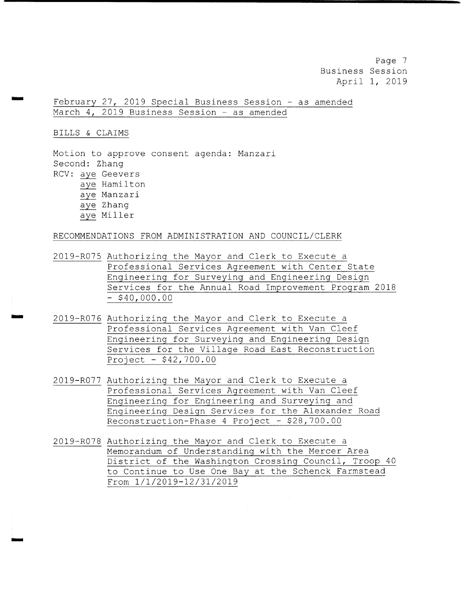Page <sup>7</sup> Business Session April 1, 2019

February 27, 2019 Special Business Session - as amended March 4, 2019 Business Session - as amended

BILLS & CLAIMS

Motion to approve consent agenda: Manzari Second: Zhang RCV: aye Geevers aye Hamilton aye Manzari aye Zhang aye Miller

RECOMMENDATIONS FROM ADMINISTRATION AND COUNCIL/CLERK

2019- R075 Authorizing the Mayor and Clerk to Execute <sup>a</sup> Professional Services Agreement with Center State Engineering for Surveying and Engineering Design Services for the Annual Road Improvement Program <sup>2018</sup>  $-$  \$40,000.00

- 2019- R076 Authorizing the Mayor and Clerk to Execute <sup>a</sup> Professional Services Agreement with Van Cleef Engineering for Surveying and Engineering Design Services for the Village Road East Reconstruction Project - \$ 42, 700 . 00
- 2019- R077 Authorizing the Mayor and Clerk to Execute <sup>a</sup> Professional Services Agreement with Van Cleef Engineering for Engineering and Surveying and Engineering Design Services for the Alexander Road Reconstruction-Phase 4 Project -  $$28,700.00$
- 2019- R078 Authorizing the Mayor and Clerk to Execute <sup>a</sup> Memorandum of Understanding with the Mercer Area District of the Washington Crossing Council, Troop <sup>40</sup> to Continue to Use One Bay at the Schenck Farmstead From  $1/1/2019 - 12/31/2019$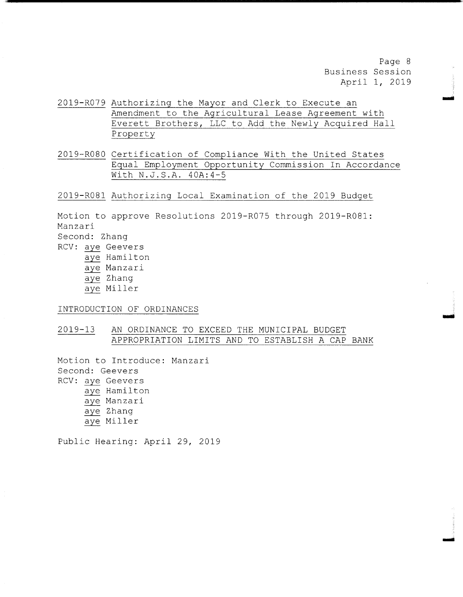Page <sup>8</sup> Business Session April 1, 2019

mow

Ina

- 2019- R079 Authorizing the Mayor and Clerk to Execute an Amendment to the Agricultural Lease Agreement with Everett Brothers, LLC to Add the Newly Acquired Hall Property
- 2019- R080 Certification of Compliance With the United States Equal Employment Opportunity Commission In Accordance With N.J.S.A. 40A: 4-5

2019- R081 Authorizing Local Examination of the 2019 Budget

Motion to approve Resolutions 2019-R075 through 2019-R081: Manzari Second: Zhang RCV: aye Geevers aye Hamilton

aye Manzari aye Zhang aye Miller

INTRODUCTION OF ORDINANCES

2019- 13 AN ORDINANCE TO EXCEED THE MUNICIPAL BUDGET APPROPRIATION LIMITS AND TO ESTABLISH A CAP BANK

Motion to Introduce: Manzari Second: Geevers RCV: aye Geevers aye Hamilton aye Manzari aye Zhang aye Miller

Public Hearing: April 29, 2019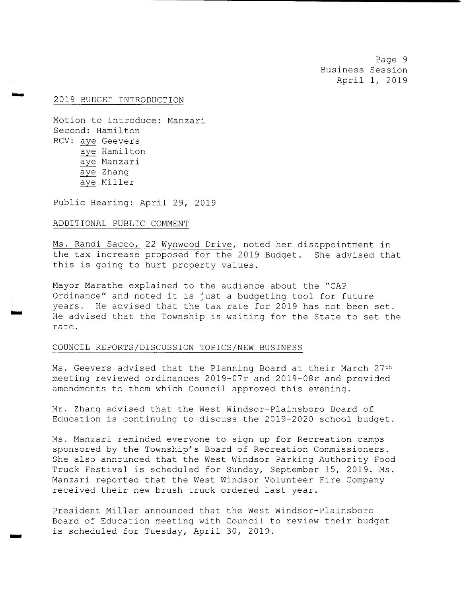Page <sup>9</sup> Business Session April 1, 2019

#### 2019 BUDGET INTRODUCTION

wow

is"'

i.. <sup>o</sup>

Motion to introduce: Manzari Second: Hamilton RCV: aye Geevers aye Hamilton aye Manzari aye Zhang aye Miller

Public Hearing: April 29, 2019

### ADDITIONAL PUBLIC COMMENT

Ms. Randi Sacco, 22 Wynwood Drive, noted her disappointment in the tax increase proposed for the 2019 Budget. She advised that this is going to hurt property values .

Mayor Marathe explained to the audience about the " CAP Ordinance" and noted it is just <sup>a</sup> budgeting tool for future years. He advised that the tax rate for 2019 has not been set. He advised that the Township is waiting for the State to set the rate.

#### COUNCIL REPORTS/ DISCUSSION TOPICS/ NEW BUSINESS

Ms. Geevers advised that the Planning Board at their March 27<sup>th</sup> meeting reviewed ordinances 2019- 07r and 2019- 08r and provided amendments to them which Council approved this evening.

Mr. Zhang advised that the West Windsor- Plainsboro Board of Education is continuing to discuss the 2019-2020 school budget.

Ms. Manzari reminded everyone to sign up for Recreation camps sponsored by the Township's Board of Recreation Commissioners. She also announced that the West Windsor Parking Authority Food Truck Festival is scheduled for Sunday, September 15, 2019. Ms. Manzari reported that the West Windsor Volunteer Fire Company received their new brush truck ordered last year.

President Miller announced that the West Windsor- Plainsboro Board of Education meeting with Council to review their budget is scheduled for Tuesday, April 30, 2019.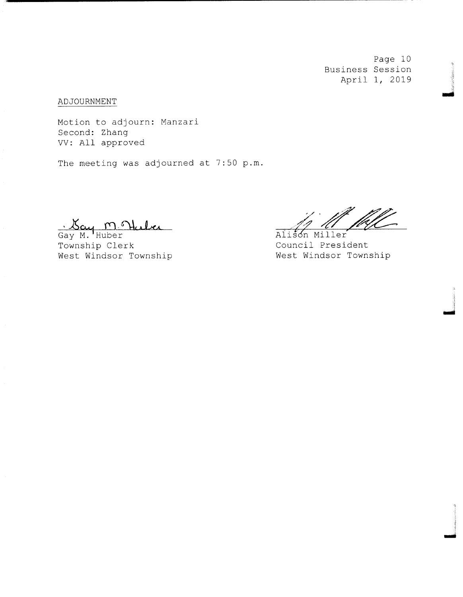Page 10 Business Session April 1, 2019

mai

ADJOURNMENT

Motion to adjourn: Manzari Second: Zhang VV: All approved

The meeting was adjourned at 7:50 p.m.

Gay M. Huber<br>Township Clerk

West Windsor Township

Alison Miller

Council President<br>West Windsor Township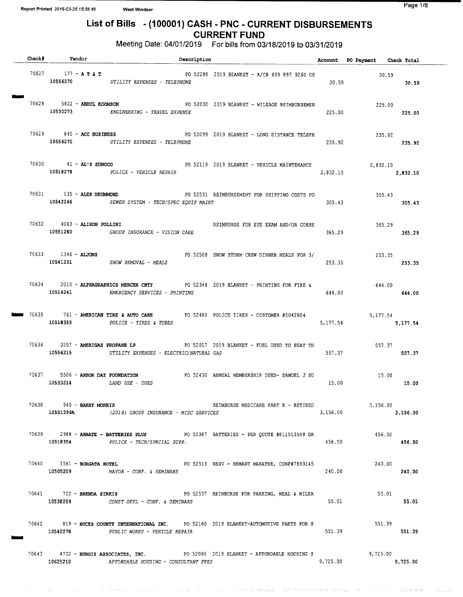$\tau \approx -\nu \pi$ 

## List of Bills - (100001) CASH - PNC - CURRENT DISBURSEMENTS CURRENT FUND

Meeting Date: 04/01/2019 For bills from 03/18/2019 to 03/31/2019

|  | Check# Vendor                  | Description                                                                                                                        |                           | Account PO Payment Check Total |                  |
|--|--------------------------------|------------------------------------------------------------------------------------------------------------------------------------|---------------------------|--------------------------------|------------------|
|  | 70627 177 – <b>A T &amp; T</b> | PO 52288 2019 BLANKET - A/C# 609 897 9260 00<br>10556270 UTILITY EXPENSES - TELEPHONE                                              | 30.59                     | $30.59$<br>30.59 30.59         |                  |
|  | 70628 5822 - ABDUL KOOMSON     | PO 52030 2019 BLANKET - MILEAGE REIMBURSEMEN<br>10530273 ENGINEERING - TRAVEL EXPENSE                                              | 225.00                    | 225.00<br>225.00               |                  |
|  |                                | 70629 845 ~ ACC BUSINESS PO 52099 2019 BLANKET - LONG DISTANCE TELEPH 235.92<br>10556270 UTILITY EXPENSES - TELEPHONE              | 235.92                    |                                | 235.92           |
|  |                                | 70630 41 - AL'S SUNOCO COME PO 52119 2019 BLANKET - VEHICLE MAINTENANCE<br>10518278 POLICE - VEHICLE REPAIR                        | ה<br>ה' כבם י<br>2,832.10 | 2,832.10<br>2,832.10           |                  |
|  | 70631 135 - ALEX DRUMMOND      | PO 52531 REIMBURSEMENT FOR SHIPPING COSTS FO<br>10542266 SEWER SYSTEM - TECH/SPEC EQUIP MAINT                                      | 305.43                    | 305.43<br>305.43               |                  |
|  | 70632 4063 - ALISON POLLINI    | REIMBURSE FOR EYE EXAM AND/OR CORRE<br>10551280 GROUP INSURANCE - VISION CARE                                                      | 365.29                    |                                | 365.29<br>365.29 |
|  | 70633 1346 - ALJONS            | PO 52508 SNOW STORM CREW DINNER MEALS FOR 3/<br>10541231 SNOW REMOVAL - MEALS                                                      | 253.35                    | 253.35<br>253.35               |                  |
|  |                                | 70634 2010 - ALPHAGRAPHICS MERCER CNTY 60 92344 2019 BLANKET - PRINTING FOR FIRE &<br>10514241 EMERGENCY SERVICES - PRINTING       | 644.00                    | 644.00<br>644.00               |                  |
|  |                                | 70635 761 - AMERICAN TIRE & AUTO CARE PO 52480 POLICE TIRES - CUSTOMER #5042804<br>10518355 POLICE - TIRES & TUBES                 | 5, 177.54                 | 5,177.54                       | 5,177.54         |
|  |                                | 70636 3257 - AMERIGAS PROPANE LP PO 52017 2019 BLANKET - FUEL USED TO HEAT TH<br>10556215 UTILITY EXPENSES - ELECTRIC/NATURAL GAS  | 557.37                    | 557.37                         | 557.37           |
|  | 10533214 LAND USE - DUES       | 70637 5506 - ARBOR DAY FOUNDATION BOOK DO 52430 ANNUAL MEMBERSHIP DUES- SAMUEL J SU                                                |                           | 15.00<br>15.00 15.00           |                  |
|  | 70638 940 - BARRY MORRIS       | REIMBURSE MEDICARE PART B - RETIRED<br>10551299A (2018) GROUP INSURANCE - MISC SERVICES                                            | 3,156.00                  | 3,156.00                       | 3,156.00         |
|  |                                | 70639 2988 - ABBATE - BATTERIES PLUS PO 52387 BATTERIES - PER QUOTE #P11513548 DA<br>10518354 POLICE - TECH/SPECIAL SUPP.          | 456.50                    | 456.50                         | 456.50           |
|  | 70640 1561 - BORGATA HOTEL     | PO 52513 RESV - HEMANT MARATHE, CONF#7893145<br>10505209 MAYOR - CONF. & SEMINARS                                                  | 240.00                    | 240.00                         | 240.00           |
|  |                                | 70641 722 - BRENDA SIRKIS TO PO 52537 REIMBURSE FOR PARKING, MEAL & MILEA<br>10538209 CONST OFFL - CONF. & SEMINARS                | 55.01                     | 55.01                          | 55.01            |
|  | 10540278                       | 70642 819 - BUCKS COUNTY INTERNATIONAL INC. PO 52160 2019 BLANKET-AUTOMOTIVE PARTS FOR H<br>PUBLIC WORKS - VEHICLE REPAIR          | 551.39                    | 551.39                         | 551.39           |
|  |                                | 70643 4702 - BURGIS ASSOCIATES, INC. PO 52080 2019 BLANKET - AFFORDABLE HOUSING S<br>10625210 AFFORDABLE HOUSING - CONSULTANT FEES | 9,725.00                  | 9,725.00                       | 9,725.00         |

о по должных перених по получить по получить измере в результате состоянные страны и получить в совершение пред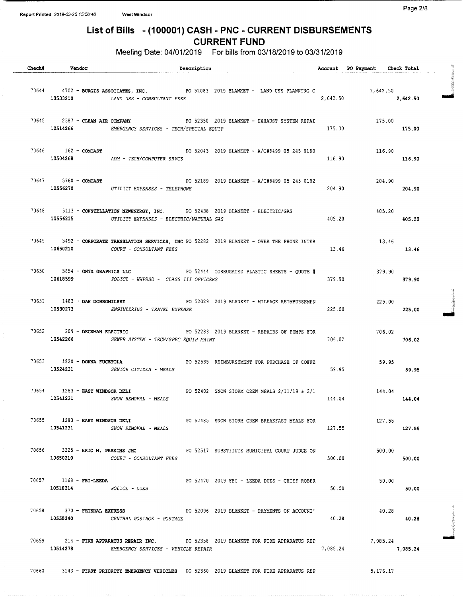Meeting Date: 04/01/2019 For bills from 03/18/2019 to 03/31/2019

| <b>Check#</b> | Vendor                                               | Description                                                                                                                                             |          | Account PO Payment Check Total |        |  |
|---------------|------------------------------------------------------|---------------------------------------------------------------------------------------------------------------------------------------------------------|----------|--------------------------------|--------|--|
|               |                                                      | 70644 4702 - BURGIS ASSOCIATES, INC.<br>10533210 LAND USE - CONSULTANT FEES 2,642.50 2,642.50 2,642.50 10533210 LAND USE - CONSULTANT FEES              |          |                                |        |  |
|               |                                                      | 70645 2587 - CLEAN AIR COMPANY 20 52350 2019 BLANKET - EXHAUST SYSTEM REPAI<br>10514266 EMERGENCY SERVICES - TECH/SPECIAL EQUIP                         | 175.00   | 175.00<br>175.00               |        |  |
|               |                                                      | 70646 162 - COMCAST COMPOSITE CONSERVATION PO 52043 2019 BLANKET - A/C#8499 05 245 0180<br>10504268 ADM - TECH/COMPUTER SRVCS                           |          | 116.90<br>116.90 116.90        |        |  |
|               |                                                      | 70647 5760 - COMCAST 600 102 600 102 2019 2019 BLANKET - A/C#8499 05 245 0102<br>10556270 UTILITY EXPENSES - TELEPHONE                                  | 204.90   | $204.90$<br>$204.90$           |        |  |
|               |                                                      | 70648 5113 - CONSTELLATION NEWENERGY, INC. PO 52438 2019 BLANKET - ELECTRIC/GAS<br>10556215 UTILITY EXPENSES - ELECTRIC/NATURAL GAS                     |          | 405.20<br>405.20 405.20        |        |  |
|               |                                                      | 70649 5492 - CORPORATE TRANSLATION SERVICES, INC PO 52282 2019 BLANKET - OVER THE PHONE INTER<br>10650210 COURT - CONSULTANT FEES                       | 13.46    | 13.46<br>13.46                 |        |  |
|               |                                                      | 70650 5854 - ONYX GRAPHICS LLC <b>1986 120 121 121 122 123 124 NORRUGATED</b> PLASTIC SHEETS - QUOTE #<br>10618599 POLICE - WWPRSD - CLASS III OFFICERS | 379.90   | 379.90                         | 379.90 |  |
|               |                                                      | 70651 1483 - DAN DOBROMILSKY <b>DE START START AT START A START A START</b> - MILEAGE REIMBURSEMEN<br>10530273 ENGINEERING - TRAVEL EXPENSE             | 225.00   | 225.00                         | 225.00 |  |
|               | 70652 209 - DECKMAN ELECTRIC                         | PO 52283 2019 BLANKET - REPAIRS OF PUMPS FOR<br>10542266 SEWER SYSTEM - TECH/SPEC EQUIP MAINT                                                           | 706.02   | 706.02<br>706.02               |        |  |
|               |                                                      | 70653 1820 - DONNA FUCETOLA <b>DE PERSONA E POLICE E POLICE E PORTAGE E POR</b> PURCHASE OF COFFE<br>10524231 SENIOR CITIZEN - MEALS                    | 59.95    | 59.95                          | 59.95  |  |
|               | 70654 1283 - EAST WINDSOR DELI                       | PO 52402 SNOW STORM CREW MEALS 2/11/19 & 2/1 144.04<br>$10541231$ SNOW REMOVAL - MEALS                                                                  |          | 144.04 144.04                  |        |  |
|               |                                                      | 70655 1283 - EAST WINDSOR DELI PO 52485 SNOW STORM CREW BREAKFAST MEALS FOR<br>10541231 SNOW REMOVAL - MEALS                                            | 127.55   | 127.55                         | 127.55 |  |
|               |                                                      | 70656 3225 - ERIC M. PERKINS JMC 308 PO 52517 SUBSTITUTE MUNICIPAL COURT JUDGE ON<br>10650210 COURT - CONSULTANT FEES                                   | 500.00   | 500.00                         | 500.00 |  |
|               | $70657$ 1168 - FBI-LEEDA<br>$10518214$ POLICE - DUES | PO 52470 2019 FBI - LEEDA DUES - CHIEF ROBER                                                                                                            | 50.00    | 50.00                          | 50.00  |  |
|               | $70658$ $370$ - FEDERAL EXPRESS                      | PO 52096 2019 BLANKET - PAYMENTS ON ACCOUNT'<br>10555240 CENTRAL POSTAGE - POSTAGE                                                                      | 40.28    | 40.28                          | 40.28  |  |
|               |                                                      | 70659 214 - FIRE APPARATUS REPAIR INC. PO 52358 2019 BLANKET FOR FIRE APPARATUS REP<br>10514278 EMERGENCY SERVICES - VEHICLE REPAIR                     | 7,085.24 | 7,085.24<br>7,085.24           |        |  |
| 70660         |                                                      | $3143$ – FIRST PRIORITY EMERGENCY VEHICLES 400 52360 2019 BLANKET FOR FIRE APPARATUS REP $5,176,17$                                                     |          |                                |        |  |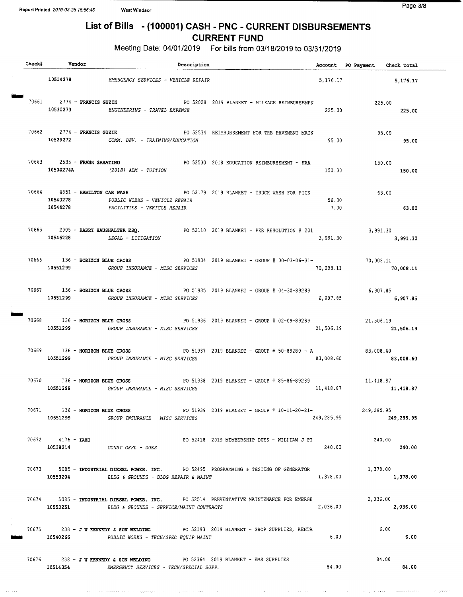Meeting Date: 04/01/2019 For bills from 03/18/2019 to 03/31/2019

| Check# Vendor                            | Description                                                                                                                                                             |               | Account PO Payment Check Total |
|------------------------------------------|-------------------------------------------------------------------------------------------------------------------------------------------------------------------------|---------------|--------------------------------|
|                                          | 10514278 EMERGENCY SERVICES - VEHICLE REPAIR                                                                                                                            |               | 5, 176.17<br>5,176.17          |
|                                          | 70661 2774 - FRANCIS GUZIK PO 52028 2019 BLANKET - MILEAGE REIMBURSEMEN<br>10530273 ENGINEERING - TRAVEL EXPENSE                                                        | 225.00        | 225.00<br>225.00               |
|                                          | 70662 2774 - FRANCIS GUZIK CONSERVED BY SALE PO 52534 REIMBURSEMENT FOR TRB PAVEMENT MAIN<br>10529272 COMM. DEV. - TRAINING/EDUCATION                                   | 95.00         | 95.00<br>95.00                 |
| 70663 2535 - FRANK SABATINO<br>10504274A | PO 52530 2018 EDUCATION REIMBURSEMENT - FAA<br>$(2018)$ ADM - TUITION                                                                                                   | 150.00        | 150.00<br>150.00               |
| 10540278                                 | 70664 4851 - HAMILTON CAR WASH <b>Example 2008</b> PO 52179 2019 BLANKET - TRUCK WASH FOR PICK<br>PUBLIC WORKS - VEHICLE REPAIR<br>10544278 FACILITIES - VEHICLE REPAIR | 56.00<br>7.00 | 63.00<br>63.00                 |
|                                          | 70665 2905 - HARRY HAUSHALTER ESQ. PO 52110 2019 BLANKET - PER RESOLUTION # 201 3,991.30<br>10546228 LEGAL - LITIGATION                                                 | 3,991.30      | 3,991,30                       |
| 70666 136 - HORIZON BLUE CROSS           | PO 51934 2019 BLANKET - GROUP # 00-03-06-31-<br>70,008.11<br>10551299 GROUP INSURANCE - MISC SERVICES                                                                   | 70,008.11     | 70,008.11                      |
|                                          | 70667 136 - HORIZON BLUE CROSS 60 1935 2019 BLANKET - GROUP # 04-30-89289<br>10551299   GROUP INSURANCE - MISC SERVICES                                                 | 6,907.85      | 6,907.85<br>6,907.85           |
|                                          | 70668 136 - HORIZON BLUE CROSS 6 2019 BLANKET - GROUP # 02-09-89289 21,506.19                                                                                           |               | 21,506.19 21,506.19            |
|                                          | 70669 136 - HORIZON BLUE CROSS 60 1937 2019 BLANKET - GROUP # 50-89289 - A<br>10551299 GROUP INSURANCE - MISC SERVICES                                                  | 83,008.60     | 83,008.60<br>83,008.60         |
|                                          | 70670 136 - HORIZON BLUE CROSS 67 2019 BLANKET - GROUP #85-86-89289 11,418.87<br>10551299 GROUP INSURANCE - MISC SERVICES                                               |               | 11, 418.87 11, 418.87          |
|                                          | 70671 136 - HORIZON BLUE CROSS 60 1939 2019 BLANKET - GROUP # 10-11-20-21- 249,285.95<br>10551299 GROUP INSURANCE - MISC SERVICES                                       |               | 249,285.95<br>249,285.95       |
| 70672 4176 - IAEI                        | PO 52418 2019 MEMBERSHIP DUES - WILLIAM J PI<br>10538214 CONST OFFL - DUES                                                                                              | 240.00        | 240.00<br>240.00               |
| 10553204                                 | 70673 5085 - INDUSTRIAL DIESEL POWER. INC. PO 52495 PROGRAMMING & TESTING OF GENERATOR<br>BLDG & GROUNDS - BLDG REPAIR & MAINT                                          | 1,378.00      | 1,378.00<br>1,378.00           |
| 10553251                                 | 70674 5085 - INDUSTRIAL DIESEL POWER. INC. PO 52514 PREVENTATIVE MAINTENANCE FOR EMERGE<br>BLDG & GROUNDS - SERVICE/MAINT CONTRACTS                                     | 2,036.00      | 2,036.00<br>2,036.00           |
|                                          | 70675 238 - J W KENNEDY & SON WELDING PO 52193 2019 BLANKET - SHOP SUPPLIES, RENTA<br>10540266 PUBLIC WORKS - TECH/SPEC EQUIP MAINT                                     | 6.00          | 6.00<br>6.00                   |
| 10514354                                 | 70676 238 - J W KENNEDY & SON WELDING PO 52364 2019 BLANKET - EMS SUPPLIES<br>EMERGENCY SERVICES - TECH/SPECIAL SUPP.                                                   | 84.00         | 84.00<br>84.00                 |

وستند بعدي والانا البدا بيمسيها والانداد والمتحدة

.<br>Tanzania este este

بوصات والدا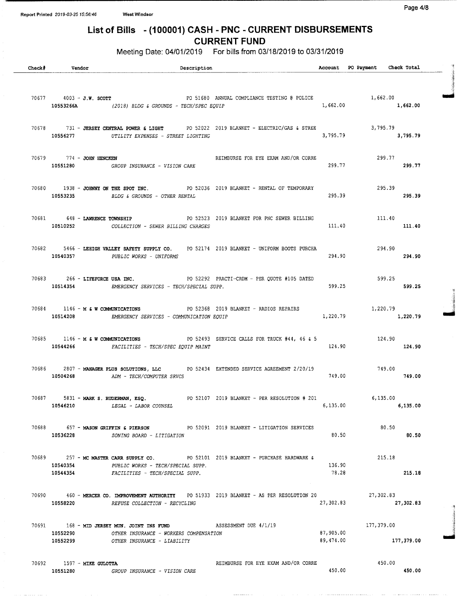Meeting Date: 04/01/2019 For bills from 03/18/2019 to 03/31/2019

| <b>Check#</b> | Vendor                                | Description                                                                                                                                                                                          |                                                            |                        | Account PO Payment Check Total |                      |  |
|---------------|---------------------------------------|------------------------------------------------------------------------------------------------------------------------------------------------------------------------------------------------------|------------------------------------------------------------|------------------------|--------------------------------|----------------------|--|
|               |                                       | 70677  4003 - J.W. SCOTT  PO 51680 ANNUAL COMPLIANCE TESTING @ POLICE  1,662.00<br>10553266A $(2018)$ BLDG & GROUNDS - TECH/SPEC EQUIP                                                               |                                                            |                        | 1,662.00 1,662.00              |                      |  |
|               |                                       | 70678 731 - JERSEY CENTRAL POWER & LIGHT PO 52022 2019 BLANKET - ELECTRIC/GAS & STREE<br>10556277 UTILITY EXPENSES - STREET LIGHTING                                                                 |                                                            | 3,795.79               |                                | 3,795.79<br>3,795.79 |  |
|               | 70679 774 - JOHN HENCKEN              | 10551280 GROUP INSURANCE - VISION CARE                                                                                                                                                               | REIMBURSE FOR EYE EXAM AND/OR CORRE                        | 299.77                 | 299.77                         | 299.77               |  |
|               | 10553235                              | 70680 1938 - JOHNNY ON THE SPOT INC. PO 52036 2019 BLANKET - RENTAL OF TEMPORARY<br>BLDG & GROUNDS - OTHER RENTAL                                                                                    |                                                            | 295.39                 | 295.39                         | 295.39               |  |
|               | 70681 648 - LAWRENCE TOWNSHIP         | 10510252 COLLECTION - SEWER BILLING CHARGES                                                                                                                                                          | PO 52523 2019 BLANKET FOR PNC SEWER BILLING AND THE 111.40 | 111.40                 |                                | 111.40               |  |
|               |                                       | 70682 5466 - LEHIGH VALLEY SAFETY SUPPLY CO. PO 52174 2019 BLANKET - UNIFORM BOOTS PURCHA<br>10540357 PUBLIC WORKS - UNIFORMS                                                                        |                                                            | 294.90                 | 294.90                         | 294.90               |  |
|               | 70683 266 - LIFEFORCE USA INC.        | 10514354 EMERGENCY SERVICES - TECH/SPECIAL SUPP.                                                                                                                                                     | PO 52292 PRACTI-CRDM - PER QUOTE #105 DATED                | 599.25                 | 599.25                         | 599.25               |  |
|               |                                       | 70684 1146 - M & W COMMUNICATIONS PO 52368 2019 BLANKET - RADIOS REPAIRS 1,220.79<br>1,220.79 EMERGENCY SERVICES - COMMUNICATION EQUIP 1,220.79<br>10514208 EMERGENCY SERVICES - COMMUNICATION EQUIP |                                                            |                        |                                | 1,220.79             |  |
|               |                                       | 70685 1146 - M & W COMMUNICATIONS PO 52493 SERVICE CALLS FOR TRUCK #44, 46 & 5<br>10544266 FACILITIES - TECH/SPEC EQUIP MAINT                                                                        |                                                            | 124.90                 | 124.90                         | 124.90               |  |
|               |                                       | 70686 2807 - MANAGER PLUS SOLUTIONS, LLC PO 52434 EXTENDED SERVICE AGREEMENT 2/20/19<br>10504268 ADM - TECH/COMPUTER SRVCS                                                                           |                                                            | 749.00                 |                                | 749.00               |  |
|               | 10546210                              | 70687 5831 - MARK S. RUDERMAN, ESQ. 88 20107 2019 BLANKET - PER RESOLUTION # 201<br><i>LEGAL - LABOR COUNSEL</i>                                                                                     |                                                            | 6,135.00               |                                | 6,135.00             |  |
|               | 10536228                              | 70688 657 - MASON GRIFFIN & PIERSON PO 52091 2019 BLANKET - LITIGATION SERVICES<br><i>ZONING BOARD - LITIGATION</i>                                                                                  |                                                            | 80.50                  | 80.50                          | 80.50                |  |
|               | 10540354                              | 70689 257 - MC MASTER CARR SUPPLY CO. 88 PO 52101 2019 BLANKET - PURCHASE HARDWARE &<br>PUBLIC WORKS - TECH/SPECIAL SUPP.<br>10544354 FACILITIES - TECH/SPECIAL SUPP.                                |                                                            | 136.90<br>78.28        | 215.18                         | 215.18               |  |
|               | 10558220                              | 70690 460 - MERCER CO. IMPROVEMENT AUTHORITY PO 51933 2019 BLANKET - AS PER RESOLUTION 20<br>REFUSE COLLECTION - RECYCLING                                                                           |                                                            | 27,302.83              | 27,302.83                      | 27,302.83            |  |
|               | 10552290                              | 70691 168 - MID JERSEY MUN. JOINT INS FUND ASSESSMENT DUE 4/1/19<br>OTHER INSURANCE - WORKERS COMPENSATION<br>10552299 OTHER INSURANCE - LIABILITY                                                   |                                                            | 87,905.00<br>89,474.00 | 177,379.00                     | 177,379.00           |  |
|               | 70692 1597 - MIKE GULOTTA<br>10551280 | GROUP INSURANCE - VISION CARE                                                                                                                                                                        | REIMBURSE FOR EYE EXAM AND/OR CORRE                        | 450.00                 | 450.00                         | 450.00               |  |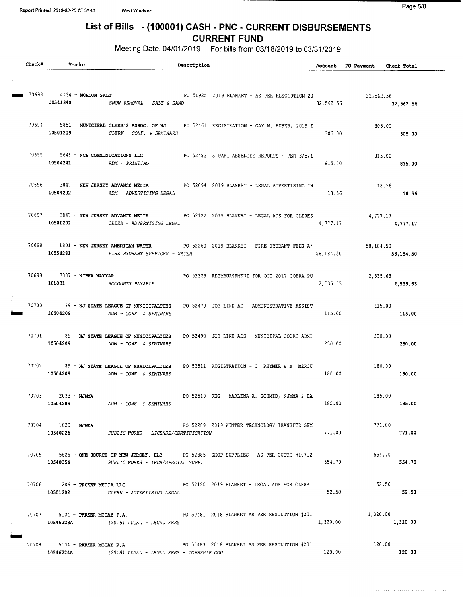$\mathcal{A}^{\mathcal{A}}$  , and the second constant of the second constant seconds of  $\mathcal{A}^{\mathcal{A}}$ 

## List of Bills - ( 100001) CASH - PNC - CURRENT DISBURSEMENTS CURRENT FUND

Meeting Date: 04/01/2019 For bills from 03/18/2019 to 03/31/2019

| Check# | Vendor                                               |                                                                       | Description |                                                                                                                                         |           | Account PO Payment Check Total   |          |
|--------|------------------------------------------------------|-----------------------------------------------------------------------|-------------|-----------------------------------------------------------------------------------------------------------------------------------------|-----------|----------------------------------|----------|
|        | $170693$ 4134 - MORTON SALT                          | 10541340 SNOW REMOVAL - SALT & SAND                                   |             | PO 51925 2019 BLANKET - AS PER RESOLUTION 20                                                                                            |           | 32,562.56<br>32,562.56 32,562.56 |          |
|        | 10501209                                             | CLERK - CONF. & SEMINARS                                              |             | 70694 5851 - MUNICIPAL CLERK'S ASSOC. OF NJ PO 52461 REGISTRATION - GAY M. HUBER, 2019 E                                                | 305.00    | 305.00                           | 305.00   |
|        | 10504241 ADM - PRINTING                              |                                                                       |             | 70695 5648 - NCP COMMUNICATIONS LLC PO 52483 3 PART ABSENTEE REPORTS - PER 3/5/1                                                        | 815.00    | 815.00                           | 815.00   |
|        | 10504202                                             | ADM - ADVERTISING LEGAL                                               |             | 70696 3847 - NEW JERSEY ADVANCE MEDIA PO 52094 2019 BLANKET - LEGAL ADVERTISING IN                                                      | 18.56     | 18.56<br>18.56                   |          |
|        |                                                      | 10501202 CLERK - ADVERTISING LEGAL                                    |             | 70697 3847 - NEW JERSEY ADVANCE MEDIA PO 52122 2019 BLANKET - LEGAL ADS FOR CLERKS                                                      | 4,777.17  | 4,777.17                         | 4,777.17 |
|        |                                                      | 10554281 FIRE HYDRANT SERVICES - WATER                                |             | 70698 1801 - NEW JERSEY AMERICAN WATER PO 52260 2019 BLANKET - FIRE HYDRANT FEES A/                                                     | 58,184.50 | 58,184.50<br>58,184.50           |          |
|        | 70699 3307 - NIBHA NAYYAR<br>101001 ACCOUNTS PAYABLE |                                                                       |             | PO 52329 REIMBURSEMENT FOR OCT 2017 COBRA PU                                                                                            |           | 2,535.63<br>2,535.63 2,535.63    |          |
|        |                                                      | 10504209 ADM - CONF. & SEMINARS                                       |             | 70700 89 - NJ STATE LEAGUE OF MUNICIPALTIES PO 52479 JOB LINE AD - ADMINISTRATIVE ASSIST                                                | 115.00    | 115.00                           | 115.00   |
|        |                                                      | 10504209 ADM - CONF. & SEMINARS                                       |             | 70701 89 - NJ STATE LEAGUE OF MUNICIPALTIES PO 52490 JOB LINE ADS - MUNICIPAL COURT ADMI                                                | 230.00    | 230.00<br>230.00                 |          |
|        | 10504209                                             | 70702 89 - NJ STATE LEAGUE OF MUNICIPALTIES<br>ADM - CONF. & SEMINARS |             | PO 52511 REGISTRATION - C. RHYMER & M. MERCU                                                                                            | 180.00    | 180.00                           | 180.00   |
|        | 70703 2033 - NJMMA<br>10504209<br>70704 1020 - NJWEA | ADM - CONF. & SEMINARS                                                |             | PO 52519 REG - MARLENA A. SCHMID, NJMMA 2 DA                                                                                            | 185.00    | 185.00<br>771.00                 | 185.00   |
|        |                                                      | 10540226 PUBLIC WORKS - LICENSE/CERTIFICATION                         |             | PO 52289 2019 WINTER TECHNOLOGY TRANSFER SEM<br>70705 5826 - ONE SOURCE OF NEW JERSEY, LLC PO 52385 SHOP SUPPLIES - AS PER QUOTE #10712 | 771.00    | 554.70                           | 771,00   |
|        |                                                      | 10540354 PUBLIC WORKS - TECH/SPECIAL SUPP.                            |             | 70706 286 - PACKET MEDIA LLC<br>20120 2019 BLANKET - LEGAL ADS FOR CLERK                                                                | 554.70    | 52.50                            | 554.70   |
|        |                                                      | 10501202 CLERK - ADVERTISING LEGAL                                    |             | 70707 5104 - PARKER MCCAY P.A. 6 PO 50481 2018 BLANKET AS PER RESOLUTION #201                                                           | 52.50     | 1,320.00                         | 52.50    |
|        | 10546223A<br>70708 5104 - PARKER MCCAY P.A.          | (2018) LEGAL - LEGAL FEES                                             |             | PO 50483 2018 BLANKET AS PER RESOLUTION #201                                                                                            | 1,320.00  | 120.00                           | 1,320.00 |
|        | 10546224A                                            | (2018) LEGAL - LEGAL FEES - TOWNSHIP COU                              |             |                                                                                                                                         | 120.00    |                                  | 120.00   |

 $\mathcal{O}(\mathcal{O}(\log n))$  . As  $\mathcal{O}(\mathcal{O})$ 

, where the complex dependence of  $\mathcal{O}(\mathbb{R}^2)$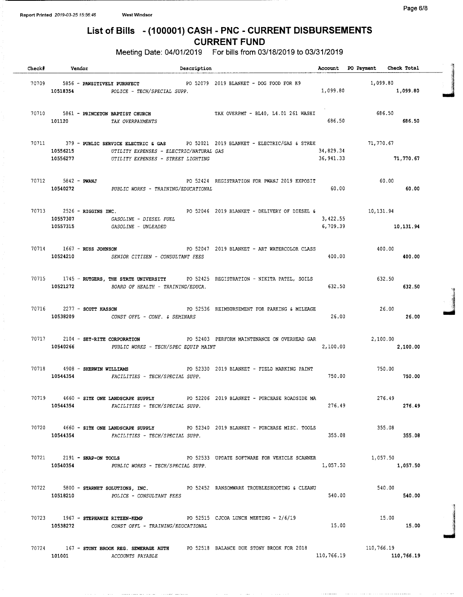Meeting Date: 04/01/2019 For bills from 03/18/2019 to 03/31/2019

| Check# Vendor        | Description                                                                                                                                                             |                         | Account PO Payment Check Total                                                                                                                                                                                                                                                                                                                                                                  |           |  |
|----------------------|-------------------------------------------------------------------------------------------------------------------------------------------------------------------------|-------------------------|-------------------------------------------------------------------------------------------------------------------------------------------------------------------------------------------------------------------------------------------------------------------------------------------------------------------------------------------------------------------------------------------------|-----------|--|
| 10518354             | 70709 5856 - PAWSITIVELY PURRFECT<br>PO 52079 2019 BLANKET - DOG FOOD FOR K9<br>POLICE - TECH/SPECIAL SUPP.                                                             | 1,099.80                | 1,099.80<br>1,099.80                                                                                                                                                                                                                                                                                                                                                                            |           |  |
|                      | 70710 5861 - PRINCETON BAPTIST CHURCH TAX OVERPMT - BL40, L4.01 261 WASHI<br>101120 TAX OVERPAYMENTS                                                                    | 686.50                  | 686.50<br>686.50                                                                                                                                                                                                                                                                                                                                                                                |           |  |
| 10556215<br>10556277 | 70711 379 - PUBLIC SERVICE ELECTRIC & GAS PO 52021 2019 BLANKET - ELECTRIC/GAS & STREE<br>UTILITY EXPENSES - ELECTRIC/NATURAL GAS<br>UTILITY EXPENSES - STREET LIGHTING | 34,829.34<br>36, 941.33 | 71,770.67<br>71,770.67                                                                                                                                                                                                                                                                                                                                                                          |           |  |
| 70712 5842 - PWANJ   | PO 52424 REGISTRATION FOR PWANJ 2019 EXPOSIT<br>10540272 PUBLIC WORKS - TRAINING/EDUCATIONAL                                                                            | 60.00                   | $\begin{array}{cc} 60.00 & \hspace*{-0.2cm} & \hspace*{-0.2cm} & \hspace*{-0.2cm} & \hspace*{-0.2cm} & \hspace*{-0.2cm} & \hspace*{-0.2cm} & \hspace*{-0.2cm} & \hspace*{-0.2cm} & \hspace*{-0.2cm} & \hspace*{-0.2cm} & \hspace*{-0.2cm} & \hspace*{-0.2cm} & \hspace*{-0.2cm} & \hspace*{-0.2cm} & \hspace*{-0.2cm} & \hspace*{-0.2cm} & \hspace*{-0.2cm} & \hspace*{-0.2cm} & \hspace*{-0.2$ |           |  |
| 10557307<br>10557315 | 70713 2526 - RIGGINS INC. THE RESERVE PO 52046 2019 BLANKET - DELIVERY OF DIESEL &<br>GASOLINE - DIESEL FUEL<br><i>GASOLINE - UNLEADED</i>                              | 3,422.55<br>6,709.39    | 10,131.94                                                                                                                                                                                                                                                                                                                                                                                       | 10,131.94 |  |
|                      | PO 52047 2019 BLANKET - ART WATERCOLOR CLASS<br>70714 1667 - RUSS JOHNSON<br>10524210 SENIOR CITIZEN - CONSULTANT FEES                                                  | 400.00                  | 400.00                                                                                                                                                                                                                                                                                                                                                                                          | 400.00    |  |
| 10521272             | 70715 1745 - RUTGERS, THE STATE UNIVERSITY PO 52425 REGISTRATION - NIKITA PATEL, SOILS<br>BOARD OF HEALTH - TRAINING/EDUCA.                                             | 632.50                  | 632.50                                                                                                                                                                                                                                                                                                                                                                                          | 632.50    |  |
|                      | 70716 2277 - SCOTT HASSON<br>PO 52536 REIMBURSEMENT FOR PARKING & MILEAGE<br>10538209 CONST OFFL - CONF. & SEMINARS                                                     | 26.00                   | 26.00                                                                                                                                                                                                                                                                                                                                                                                           | 26.00     |  |
|                      | PO 52403 PERFORM MAINTENANCE ON OVERHEAD GAR<br>70717 2104 - SET-RITE CORPORATION<br>10540266 PUBLIC WORKS - TECH/SPEC EQUIP MAINT                                      | 2,100.00                | 2,100.00                                                                                                                                                                                                                                                                                                                                                                                        | 2,100.00  |  |
| 10544354             | 70718 4908 - SHERWIN WILLIAMS<br>PO 52330 2019 BLANKET - FIELD MARKING PAINT<br>FACILITIES - TECH/SPECIAL SUPP.                                                         | 750.00                  | 750.00                                                                                                                                                                                                                                                                                                                                                                                          | 750.00    |  |
| 10544354             | 70719 4660 - SITE ONE LANDSCAPE SUPPLY<br>PO 52206 2019 BLANKET - PURCHASE ROADSIDE MA<br>FACILITIES - TECH/SPECIAL SUPP.                                               | 276.49                  | 276.49                                                                                                                                                                                                                                                                                                                                                                                          | 276.49    |  |
|                      | 70720 4660 - SITE ONE LANDSCAPE SUPPLY PO 52340 2019 BLANKET - PURCHASE MISC. TOOLS<br>10544354 FACILITIES - TECH/SPECIAL SUPP.                                         | 355.08                  | 355.08<br>355.08                                                                                                                                                                                                                                                                                                                                                                                |           |  |
|                      | 70721 2191 - SNAP-ON TOOLS<br>PO 52533 UPDATE SOFTWARE FOR VEHICLE SCANNER<br>10540354 PUBLIC WORKS - TECH/SPECIAL SUPP.                                                | 1,057.50                | 1,057.50                                                                                                                                                                                                                                                                                                                                                                                        | 1,057.50  |  |
|                      | 70722 5800 - STARNET SOLUTIONS, INC. PO 52452 RANSOMWARE TROUBLESHOOTING & CLEANU<br>10518210 POLICE - CONSULTANT FEES                                                  | 540.00                  | 540.00                                                                                                                                                                                                                                                                                                                                                                                          | 540.00    |  |
| 10538272             | $70723$ 1967 - STEPHANIE RITZEN-KEMP 60 52515 CJCOA LUNCH MEETING - $2/6/19$<br>CONST OFFL - TRAINING/EDUCATIONAL                                                       | 15.00                   | 15.00                                                                                                                                                                                                                                                                                                                                                                                           | 15.00     |  |
|                      | 70724 167 - STONY BROOK REG. SEWERAGE AUTH PO 52518 BALANCE DUE STONY BROOK FOR 2018<br>101001 ACCOUNTS PAYABLE                                                         |                         | 110,766.19<br>110,766.19 110,766.19                                                                                                                                                                                                                                                                                                                                                             |           |  |

t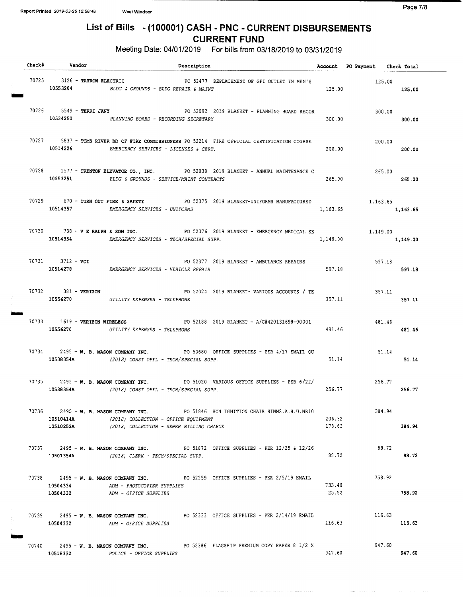Meeting Date: 04/01/2019 For bills from 03/18/2019 to 03/31/2019

|  | ${\bf Check} \, \texttt{\#} \qquad \qquad {\bf Vendor}$ | ${\small \textbf{Description}}$                                                                                                                                                  |                  | Account PO Payment Check Total |          |
|--|---------------------------------------------------------|----------------------------------------------------------------------------------------------------------------------------------------------------------------------------------|------------------|--------------------------------|----------|
|  |                                                         | 70725 3126 - TAFROW ELECTRIC FOR S2477 REPLACEMENT OF GFI OUTLET IN MEN'S<br>10553204 BLDG & GROUNDS - BLDG REPAIR & MAINT                                                       | 125.00           | 125.00                         | 125.00   |
|  | 70726 5549 - TERRI JANY                                 | PO 52092 2019 BLANKET - PLANNING BOARD RECOR<br>10534250 PLANNING BOARD - RECORDING SECRETARY                                                                                    | 300.00           | 300.00<br>300.00               |          |
|  |                                                         | 70727 5837 - TOMS RIVER BD OF FIRE COMMISSIONERS PO 52214 FIRE OFFICIAL CERTIFICATION COURSE<br>10514226 EMERGENCY SERVICES - LICENSES & CERT.                                   | 200.00           | 200.00                         | 200.00   |
|  |                                                         | 70728 1577 - TRENTON ELEVATOR CO., INC. PO 52038 2019 BLANKET - ANNUAL MAINTENANCE C<br>10553251 BLDG & GROUNDS - SERVICE/MAINT CONTRACTS                                        | 265.00           | 265.00<br>265.00               |          |
|  |                                                         | 70729 670 - TURN OUT FIRE & SAFETY PO 52375 2019 BLANKET-UNIFORMS MANUFACTURED 1,163.65<br>10514357 EMERGENCY SERVICES - UNIFORMS                                                |                  | 1,163.65 1,163.65              |          |
|  |                                                         | 70730 738 - V E RALPH & SON INC. PO 52376 2019 BLANKET - EMERGENCY MEDICAL SE<br>10514354 EMERGENCY SERVICES - TECH/SPECIAL SUPP.                                                | 1,149.00         | 1,149.00                       | 1,149.00 |
|  | 70731 3712 - vcI                                        | PO 52377 2019 BLANKET - AMBULANCE REPAIRS<br>10514278 EMERGENCY SERVICES - VEHICLE REPAIR                                                                                        | 597.18           | 597.18<br>597.18               |          |
|  | 70732 381 - VERIZON                                     | PO 52024 2019 BLANKET- VARIOUS ACCOUNTS / TE<br>10556270 UTILITY EXPENSES - TELEPHONE                                                                                            | 357.11           | 357.11<br>357.11               |          |
|  |                                                         | 70733 1619 - VERIZON WIRELESS 60 10 12188 2019 BLANKET - A/C#420131698-00001<br>10556270 UTILITY EXPENSES - TELEPHONE                                                            | 481.46           | 481.46                         | 481.46   |
|  |                                                         | 70734 2495 - W. B. MASON COMPANY INC. PO 50680 OFFICE SUPPLIES - PER 4/17 EMAIL QU 51.14<br>10538354A (2018) CONST OFFL - TECH/SPECIAL SUPP.                                     | 51.14            |                                | 51.14    |
|  |                                                         | 70735 2495 - W. B. MASON COMPANY INC. PO 51020 VARIOUS OFFICE SUPPLIES - PER 6/22/<br>10538354A (2018) CONST OFFL - TECH/SPECIAL SUPP.                                           | 256.77           | 256.77                         | 256.77   |
|  | 10510252A                                               | 70736 2495 - W. B. MASON COMPANY INC. PO 51846 HON IGNITION CHAIR HIWM2.A.H.U.NR10<br>10510414A (2018) COLLECTION - OFFICE EQUIPMENT<br>(2018) COLLECTION - SEWER BILLING CHARGE | 206.32<br>178.62 | 384.94                         | 384.94   |
|  |                                                         | 70737 2495 - W. B. MASON COMPANY INC. PO 51872 OFFICE SUPPLIES ~ PER 12/25 & 12/26<br>10501354A (2018) CLERK - TECH/SPECIAL SUPP.                                                | 88.72            | 88.72                          | 88.72    |
|  | 10504334<br>10504332                                    | 70738 2495 - W. B. MASON COMPANY INC. PO 52259 OFFICE SUPPLIES - PER 2/5/19 EMAIL<br>ADM - PHOTOCOPIER SUPPLIES<br>ADM - OFFICE SUPPLIES                                         | 733.40<br>25.52  | 758.92                         | 758.92   |
|  | 10504332                                                | 70739 2495 - W. B. MASON COMPANY INC. PO 52333 OFFICE SUPPLIES - PER 2/14/19 EMAIL<br>ADM - OFFICE SUPPLIES                                                                      | 116.63           | 116.63                         | 116.63   |
|  | 10518332                                                | 70740 2495 - W. B. MASON COMPANY INC. PO 52386 FLAGSHIP PREMIUM COPY PAPER 8 1/2 X<br>POLICE - OFFICE SUPPLIES                                                                   | 947.60           | 947.60                         | 947.60   |

ومتطومين ويدار الرازيل وبالمدة تهور والرازان الموضوعة ستر متتشيمت كالمتشار التركيبكية الترازيل المركز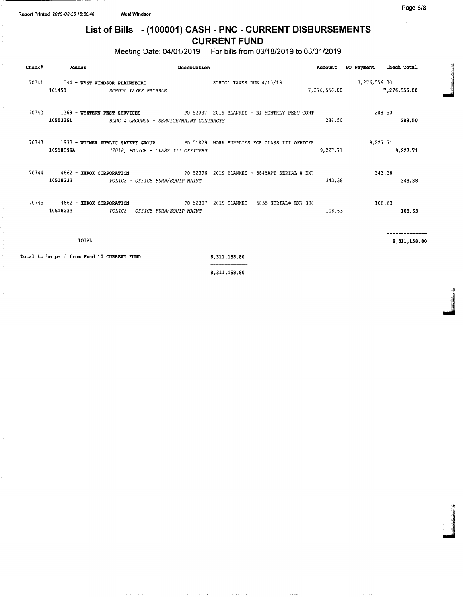Meeting Date: 04/01/2019 For bills from 03/18/2019 to 03/31/2019

| Check# | Vendor                                              | Description                                                              |                                                                                   | Account      | PO Payment   | Check Total  |
|--------|-----------------------------------------------------|--------------------------------------------------------------------------|-----------------------------------------------------------------------------------|--------------|--------------|--------------|
| 70741  | 101450                                              | 544 - WEST WINDSOR PLAINSBORO<br>SCHOOL TAXES PAYABLE                    | SCHOOL TAXES DUE 4/10/19                                                          | 7,276,556.00 | 7,276,556.00 | 7,276,556.00 |
| 70742  | 10553251                                            | 1268 - WESTERN PEST SERVICES<br>BLDG & GROUNDS - SERVICE/MAINT CONTRACTS | PO 52037 2019 BLANKET - BI MONTHLY PEST CONT                                      | 288.50       | 288.50       | 288.50       |
| 70743  |                                                     | 10518599A (2018) POLICE - CLASS III OFFICERS                             | 1933 - WITMER PUBLIC SAFETY GROUP 60 90 51829 WORK SUPPLIES FOR CLASS III OFFICER | 9,227.71     | 9,227.71     | 9,227.71     |
|        | 70744 4662 - XEROX CORPORATION<br>10518233          | POLICE - OFFICE FURN/EQUIP MAINT                                         | PO 52396 2019 BLANKET - 5845APT SERIAL # EX7                                      | 343.38       | 343.38       | 343.38       |
| 70745  | 4662 - XEROX CORPORATION<br>10518233                | POLICE - OFFICE FURN/EQUIP MAINT                                         | PO 52397 2019 BLANKET - 5855 SERIAL# EX7-398                                      | 108.63       | 108.63       | 108.63       |
|        | TOTAL<br>Total to be paid from Fund 10 CURRENT FUND |                                                                          | 8,311,158.80                                                                      |              |              | 8,311,158.80 |
|        |                                                     |                                                                          | ______________<br>8,311,158.80                                                    |              |              |              |

4

11111

**I**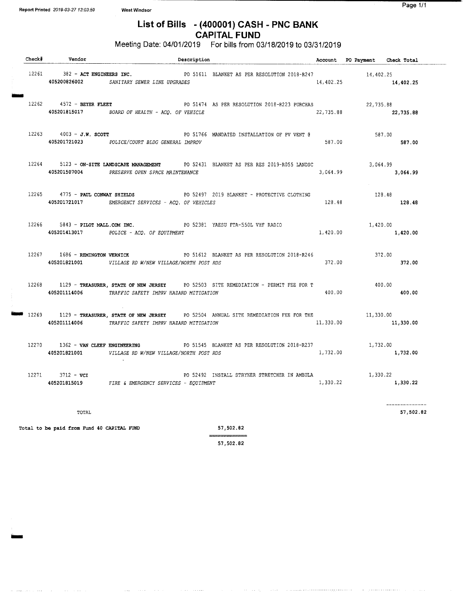Report Printed 2019-03-27 13:03:59 West Windsor

 $\sim 1.1\, \mu$ 

 $\sim$   $\sim$   $\sim$ 

 $\alpha$  , we assume that the set  $\alpha$ 

 $\sim$  100  $\mu$  m  $\sim$  100  $\mu$  m  $\sim$  100

 $\sim 100$  and  $\sim 100$  and  $\sim 100$ 

## List of Bills - (400001) CASH - PNC BANK CAPITAL FUND

Meeting Date: 04/01/2019 For bills from 03/18/2019 to 03/31/2019

|  | Check# Vendor              |                                                                                                               | Description |                                                                                                    |           | Account PO Payment Check Total |                      |
|--|----------------------------|---------------------------------------------------------------------------------------------------------------|-------------|----------------------------------------------------------------------------------------------------|-----------|--------------------------------|----------------------|
|  |                            | 405200826002 SANITARY SEWER LINE UPGRADES                                                                     |             | 12261 382 - ACT ENGINEERS INC. 25 20 201611 BLANKET AS PER RESOLUTION 2018-R247 283 - 14,402.25    | 14,402.25 |                                | 14,402.25            |
|  | $12262$ 4572 - BEYER FLEET | 405201815017 BOARD OF HEALTH - ACQ. OF VEHICLE                                                                |             | PO 51474 AS PER RESOLUTION 2018-R223 PURCHAS                                                       | 22,735.88 | 22,735.88                      | 22.735.88            |
|  | 12263 4003 - J.W. SCOTT    | 405201721023 POLICE/COURT BLDG GENERAL IMPROV                                                                 |             | PO 51766 MANDATED INSTALLATION OF PV VENT @                                                        | 587.00    | 587.00                         | 587.00               |
|  |                            | 405201507004 PRESERVE OPEN SPACE MAINTENANCE                                                                  |             | 12264 5123 - ON-SITE LANDSCAPE MANAGEMENT PO 52431 BLANKET AS PER RES 2019-R055 LANDSC             | 3,064.99  |                                | 3,064.99<br>3,064.99 |
|  |                            | 12265 4775 - PAUL CONWAY SHIELDS<br>405201721017 EMERGENCY SERVICES - ACQ. OF VEHICLES                        |             | PO 52497 2019 BLANKET - PROTECTIVE CLOTHING                                                        | 128.48    | 128.48                         | 128.48               |
|  |                            | 12266 5843 - PILOT MALL.COM INC. PO 52381 YAESU FTA-550L VHF RADIO<br>405201413017 POLICE - ACQ. OF EQUIPMENT |             |                                                                                                    | 1,420.00  | 1,420.00                       | 1,420.00             |
|  |                            | 405201821001 VILLAGE RD W/NEW VILLAGE/NORTH POST RDS                                                          |             | 12267 1686 - REMINGTON VERNICK 6 PO 51612 BLANKET AS PER RESOLUTION 2018-R246                      | 372.00    | 372.00                         | 372.00               |
|  | 405201114006               | TRAFFIC SAFETY IMPRV HAZARD MITIGATION                                                                        |             | 12268 1129 - TREASURER, STATE OF NEW JERSEY PO 52503 SITE REMEDIATION - PERMIT FEE FOR T           | 400.00    | 400.00                         | 400.00               |
|  | 405201114006               | TRAFFIC SAFETY IMPRV HAZARD MITIGATION                                                                        |             | 12269 1129 - TREASURER, STATE OF NEW JERSEY PO 52504 ANNUAL SITE REMEDIATION FEE FOR THE 11,330.00 | 11,330.00 |                                | 11,330.00            |
|  | 405201821001               | VILLAGE RD W/NEW VILLAGE/NORTH POST RDS                                                                       |             | 12270 1362 - VAN CLEEF ENGINEERING FO 51545 BLANKET AS PER RESOLUTION 2018-R237                    | 1,732.00  | 1,732.00                       | 1,732.00             |
|  |                            | 12271 3712 - VCI PO 52492 IN PO 52492 IN 405201815019 FIRE & EMERGENCY SERVICES - EQUIPMENT                   |             | PO 52492 INSTALL STRYKER STRETCHER IN AMBULA                                                       | 1,330.22  | 1,330.22                       | 1,330.22             |
|  |                            |                                                                                                               |             |                                                                                                    |           |                                | --------------       |

TOTAL 57, 502. 82

Total to be paid from Fund 40 CAPITAL FUND 57,502.82

57, 502. 82

 $\alpha\in\{1,2,\ldots,n\}$ 

 $\sim$  , , , ,

والمتحدث والمتحال والمتحدث والمستحدث والمتحدث والمتحدث والمتحدث والمتحدث

ستعر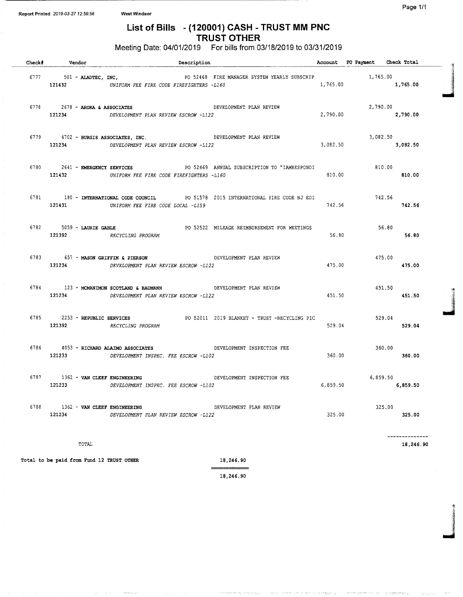## List of Bills - ( 120001) CASH - TRUST MM PNC TRUST OTHER

Meeting Date: 04/01/2019 For bills from 03/18/2019 to 03/31/2019

|      | Check# Vendor                                      | Description                                                                                                       |                                                                                          |          | Account PO Payment Check Total |                      |
|------|----------------------------------------------------|-------------------------------------------------------------------------------------------------------------------|------------------------------------------------------------------------------------------|----------|--------------------------------|----------------------|
|      |                                                    | 121432 UNIFORM FEE FIRE CODE FIREFIGHTERS -L160                                                                   | 6777 501 - ALADTEC, INC, THE STATE OF S2468 FIRE MANAGER SYSTEM YEARLY SUBSCRIP 1,765.00 | 1,765.00 | 1,765.00                       |                      |
|      | $6778$ 2678 - ARORA & ASSOCIATES                   | 121234 DEVELOPMENT PLAN REVIEW ESCROW -L122                                                                       | DEVELOPMENT PLAN REVIEW                                                                  | 2,790.00 | 2,790.00<br>2,790.00           |                      |
|      | 121234                                             | 6779 4702 - BURGIS ASSOCIATES, INC.<br>DEVELOPMENT PLAN REVIEW ESCROW -L122                                       | DEVELOPMENT PLAN REVIEW                                                                  |          | 3,082.50<br>3,082.50 3,082.50  |                      |
|      |                                                    | 121432 UNIFORM FEE FIRE CODE FIREFIGHTERS -L160                                                                   | 6780  2641 - EMERGENCY SERVICES  PO 52469 ANNUAL SUBSCRIPTION TO "IAMRESPONDI            | 810.00   | 810.00                         | 810.00               |
|      |                                                    | 121431 UNIFORM FEE FIRE CODE LOCAL -L159                                                                          | 6781 180 - INTERNATIONAL CODE COUNCIL PO 51578 2015 INTERNATIONAL FIRE CODE NJ EDI       | 742.56   | 742.56                         | 742.56               |
|      | 121392 RECYCLING PROGRAM                           |                                                                                                                   | 6782   5059 - LAURIE GABLE   6782   679   52522   MILEAGE REIMBURSEMENT FOR MEETINGS     | 56.80    | 56.80                          | 56.80                |
|      |                                                    | 6783 657 - MASON GRIFFIN & PIERSON CONTROL DEVELOPMENT PLAN REVIEW<br>121234 DEVELOPMENT PLAN REVIEW ESCROW -L122 |                                                                                          | 475.00   | 475.00                         | 475.00               |
|      | 6784 123 - MCMANIMON SCOTLAND & BAUMANN<br>121234  | DEVELOPMENT PLAN REVIEW ESCROW -L122                                                                              | DEVELOPMENT PLAN REVIEW                                                                  | 451.50   |                                | $451.50$<br>$451.50$ |
|      | 121392 RECYCLING PROGRAM                           |                                                                                                                   | 6785 2253 - REPUBLIC SERVICES 60 2011 2019 BLANKET - TRUST - RECYCLING PIC               | 529.04   | 529.04<br>529.04               |                      |
|      | 6786 4053 - RICHARD ALAIMO ASSOCIATES<br>121233    | DEVELOPMENT INSPEC. FEE ESCROW -L102                                                                              | DEVELOPMENT INSPECTION FEE                                                               | 360.00   | 360.00                         | 360.00               |
|      | 6787 1362 - VAN CLEEF ENGINEERING                  | 121233 DEVELOPMENT INSPEC. FEE ESCROW -L102                                                                       | DEVELOPMENT INSPECTION FEE                                                               |          | 6,859.50<br>6,859.50           | 6,859.50             |
| 6788 | 1362 - VAN CLEEF ENGINEERING<br>121234             | DEVELOPMENT PLAN REVIEW ESCROW -L122                                                                              | DEVELOPMENT PLAN REVIEW                                                                  | 325.00   | 325.00                         | 325.00               |
|      | TOTAL<br>Total to be paid from Fund 12 TRUST OTHER |                                                                                                                   | 18,246.90                                                                                |          |                                | 18,246.90            |

18, 246. 90

والمواويات المارسية

التوافي فالمستحدث والمتحدث المتنفسيات المالحة فوا

الأواري المستويات والموالي

**I** II1aY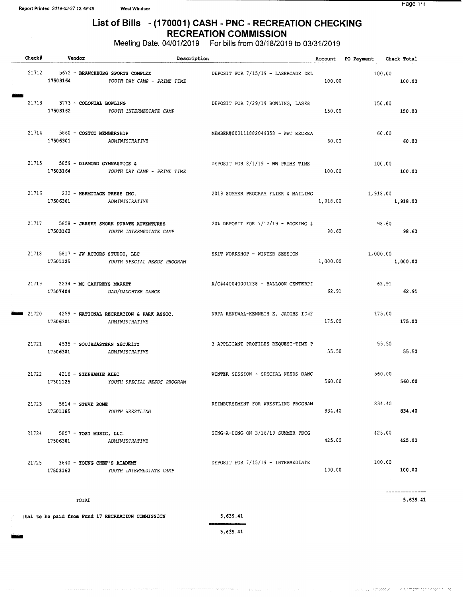gine

 $\omega_{\rm{F}}$  and

## List of Bills - ( 170001) CASH - PNC - RECREATION CHECKING RECREATION COMMISSION

Meeting Date: 04/01/2019 For bills from 03/18/2019 to 03/31/2019

| Check   | Vendor                                         |                                                                  | Description                         |          | Account PO Payment Check Total |          |  |
|---------|------------------------------------------------|------------------------------------------------------------------|-------------------------------------|----------|--------------------------------|----------|--|
| 21712   | 17503164                                       | 5672 - BRANCHBURG SPORTS COMPLEX<br>YOUTH DAY CAMP - PRIME TIME  | DEPOSIT FOR 7/15/19 - LASERCADE DEL | 100.00   | 100.00                         | 100.00   |  |
|         | 21713 3773 - COLONIAL BOWLING                  | 17503162 YOUTH INTERMEDIATE CAMP                                 | DEPOSIT FOR 7/29/19 BOWLING, LASER  | 150.00   | 150.00                         | 150.00   |  |
| 21714   | 5860 - COSTCO MEMBERSHIP<br>17506301           | ADMINISTRATIVE                                                   | MEMBER#000111882049358 - WWT RECREA | 60.00    | 60.00                          | 60.00    |  |
|         | 21715 5859 - DIAMOND GYMNASTICS &<br>17503164  | YOUTH DAY CAMP - PRIME TIME                                      | DEPOSIT FOR 8/1/19 - WW PRIME TIME  | 100.00   | 100.00                         | 100.00   |  |
|         | 21716 232 - HERMITAGE PRESS INC.<br>17506301   | ADMINISTRATIVE                                                   | 2019 SUMMER PROGRAM FLIER & MAILING | 1,918.00 | 1,918.00                       | 1,918.00 |  |
| 21717   | 17503162                                       | 5858 - JERSEY SHORE PIRATE ADVENTURES<br>YOUTH INTERMEDIATE CAMP | 20% DEPOSIT FOR 7/12/19 - BOOKING # | 98.60    | 98.60                          | 98.60    |  |
|         | 21718 5817 - JW ACTORS STUDIO, LLC<br>17501125 | YOUTH SPECIAL NEEDS PROGRAM                                      | SKIT WORKSHOP - WINTER SESSION      | 1,000.00 | 1,000.00                       | 1,000.00 |  |
|         | 21719 2234 - MC CAFFREYS MARKET                | 17507404 DAD/DAUGHTER DANCE                                      | A/C#440040001238 - BALLOON CENTERPI | 62.91    | 62.91                          | 62.91    |  |
| ■ 21720 | 17506301                                       | 4259 - NATIONAL RECREATION & PARK ASSOC.<br>ADMINISTRATIVE       | NRPA RENEWAL-KENNETH E. JACOBS ID#2 | 175.00   | 175.00                         | 175.00   |  |
|         | 21721 4535 - SOUTHEASTERN SECURITY<br>17506301 | ADMINISTRATIVE                                                   | 3 APPLICANT PROFILES REQUEST-TIME P | 55.50    | 55.50                          | 55.50    |  |
|         | 21722 4216 - STEPHANIE ALBI<br>17501125        | YOUTH SPECIAL NEEDS PROGRAM                                      | WINTER SESSION - SPECIAL NEEDS DANC | 560.00   | 560.00                         | 560.00   |  |
|         | 21723 5814 - STEVE ROME<br>17501185            | YOUTH WRESTLING                                                  | REIMBURSEMENT FOR WRESTLING PROGRAM | 834.40   | 834.40                         | 834.40   |  |
|         | 21724 5857 - YOSI MUSIC, LLC.<br>17506301      | ADMINISTRATIVE                                                   | SING-A-LONG ON 3/16/19 SUMMER PROG  | 425.00   | 425.00                         | 425.00   |  |
| 21725   | 3640 - YOUNG CHEF'S ACADEMY<br>17503162        | YOUTH INTERMEDIATE CAMP                                          | DEPOSIT FOR 7/15/19 - INTERMEDIATE  | 100.00   | 100.00                         | 100.00   |  |
|         |                                                |                                                                  |                                     |          |                                |          |  |

 $_{\rm{TOTAL}}$  5, 639. 41  $_{\rm{5.639\,\,A1}}$ 

#### tal to be paid from Fund <sup>17</sup> RECREATION COMMISSION 5, 639. 41

5, 639. 41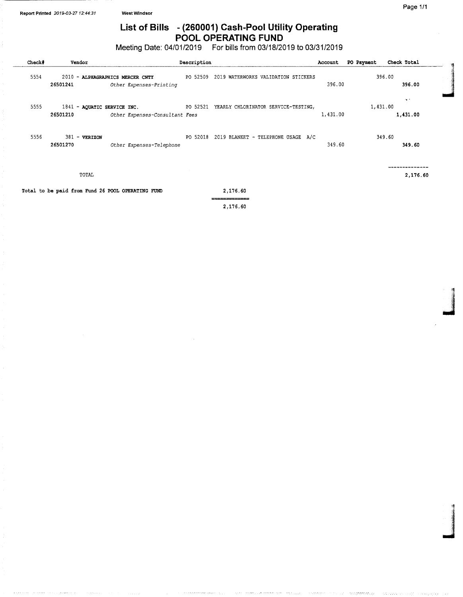## List of Bills - (260001) Cash-Pool Utility Operating POOL OPERATING FUND

Meeting Date: 04/01/2019 For bills from 03/18/2019 to 03/31/2019

| Check# | Vendor                                  |                                                             | Description |                                              | Account  | PO Payment | Check Total      |
|--------|-----------------------------------------|-------------------------------------------------------------|-------------|----------------------------------------------|----------|------------|------------------|
| 5554   | 26501241                                | 2010 - ALPHAGRAPHICS MERCER CNTY<br>Other Expenses-Printing | PO 52509    | 2019 WATERWORKS VALIDATION STICKERS          | 396.00   |            | 396.00<br>396.00 |
| 5555   | 1841 - AQUATIC SERVICE INC.<br>26501210 | Other Expenses-Consultant Fees                              |             | PO 52521 YEARLY CHLORINATOR SERVICE-TESTING, | 1,431.00 | 1,431.00   | ne f<br>1,431.00 |
| 5556   | 381 - VERIZON<br>26501270               | Other Expenses-Telephone                                    |             | PO 52018 2019 BLANKET - TELEPHONE USAGE A/C  | 349.60   |            | 349.60<br>349.60 |
|        | TOTAL                                   |                                                             |             |                                              |          |            | 2,176.60         |
|        |                                         | Total to be paid from Fund 26 POOL OPERATING FUND           |             | 2,176.60                                     |          |            |                  |

2, 176. 60

4